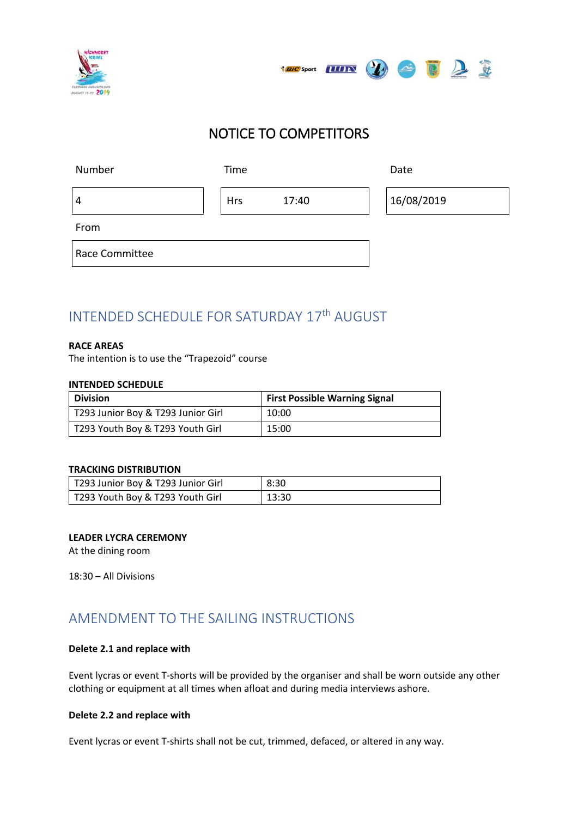



# NOTICE TO COMPETITORS

| Number         | Time       |       | Date       |
|----------------|------------|-------|------------|
| 4              | <b>Hrs</b> | 17:40 | 16/08/2019 |
| From           |            |       |            |
| Race Committee |            |       |            |

# INTENDED SCHEDULE FOR SATURDAY 17th AUGUST

### **RACE AREAS**

The intention is to use the "Trapezoid" course

#### **INTENDED SCHEDULE**

| <b>Division</b>                    | <b>First Possible Warning Signal</b> |
|------------------------------------|--------------------------------------|
| T293 Junior Boy & T293 Junior Girl | 10:00                                |
| T293 Youth Boy & T293 Youth Girl   | 15:00                                |

### **TRACKING DISTRIBUTION**

| T293 Junior Boy & T293 Junior Girl | 8:30  |
|------------------------------------|-------|
| T293 Youth Boy & T293 Youth Girl   | 13:30 |

### **LEADER LYCRA CEREMONY**

At the dining room

18:30 – All Divisions

## AMENDMENT TO THE SAILING INSTRUCTIONS

### **Delete 2.1 and replace with**

Event lycras or event T-shorts will be provided by the organiser and shall be worn outside any other clothing or equipment at all times when afloat and during media interviews ashore.

### **Delete 2.2 and replace with**

Event lycras or event T-shirts shall not be cut, trimmed, defaced, or altered in any way.